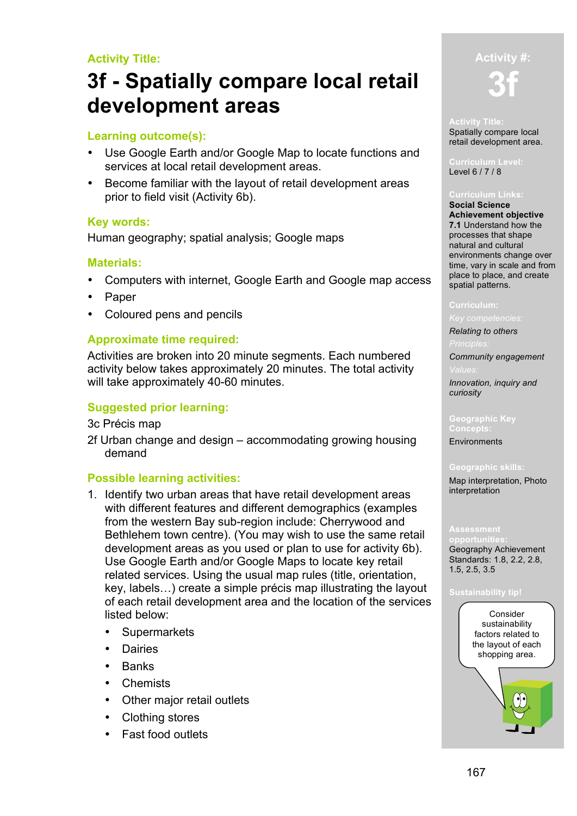# **Activity Title:**

# **3f - Spatially compare local retail development areas**

# **Learning outcome(s):**

- Use Google Earth and/or Google Map to locate functions and services at local retail development areas.
- Become familiar with the layout of retail development areas prior to field visit (Activity 6b).

# **Key words:**

Human geography; spatial analysis; Google maps

# **Materials:**

- Computers with internet, Google Earth and Google map access
- Paper
- Coloured pens and pencils

# **Approximate time required:**

Activities are broken into 20 minute segments. Each numbered activity below takes approximately 20 minutes. The total activity will take approximately 40-60 minutes.

# **Suggested prior learning:**

3c Précis map

2f Urban change and design – accommodating growing housing demand

## **Possible learning activities:**

- 1. Identify two urban areas that have retail development areas with different features and different demographics (examples from the western Bay sub-region include: Cherrywood and Bethlehem town centre). (You may wish to use the same retail development areas as you used or plan to use for activity 6b). Use Google Earth and/or Google Maps to locate key retail related services. Using the usual map rules (title, orientation, key, labels…) create a simple précis map illustrating the layout of each retail development area and the location of the services listed below:
	- **Supermarkets**
	- Dairies
	- Banks
	- **Chemists**
	- Other major retail outlets
	- Clothing stores
	- Fast food outlets

# **Activity #: 3f**

#### **Activity Title:** Spatially compare local retail development area.

**Curriculum Level:** Level 6 / 7 / 8

#### **Curriculum Links:**

**Social Science Achievement objective 7.1** Understand how the processes that shape natural and cultural environments change over time, vary in scale and from place to place, and create spatial patterns.

#### **Curriculum:**

### *Key competencies:*

*Relating to others*

*Community engagement*

*Innovation, inquiry and curiosity* 

# **Geographic Key**

Environments

### **Geographic skills:**

Map interpretation, Photo interpretation

**opportunities:** Geography Achievement Standards: 1.8, 2.2, 2.8, 1.5, 2.5, 3.5